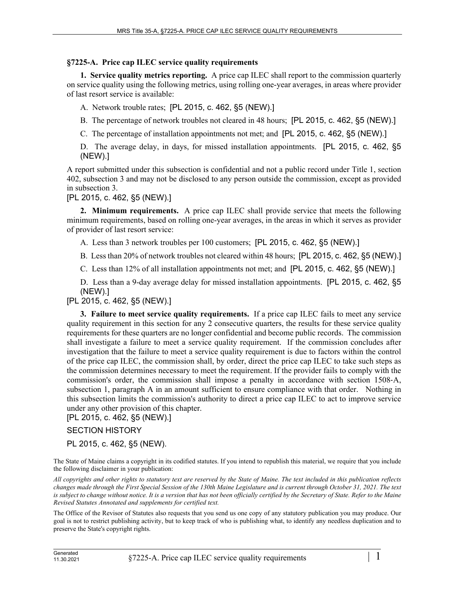## **§7225-A. Price cap ILEC service quality requirements**

**1. Service quality metrics reporting.** A price cap ILEC shall report to the commission quarterly on service quality using the following metrics, using rolling one-year averages, in areas where provider of last resort service is available:

A. Network trouble rates; [PL 2015, c. 462, §5 (NEW).]

- B. The percentage of network troubles not cleared in 48 hours; [PL 2015, c. 462, §5 (NEW).]
- C. The percentage of installation appointments not met; and [PL 2015, c. 462, §5 (NEW).]

D. The average delay, in days, for missed installation appointments. [PL 2015, c. 462, §5 (NEW).]

A report submitted under this subsection is confidential and not a public record under Title 1, section 402, subsection 3 and may not be disclosed to any person outside the commission, except as provided in subsection 3.

[PL 2015, c. 462, §5 (NEW).]

**2. Minimum requirements.** A price cap ILEC shall provide service that meets the following minimum requirements, based on rolling one-year averages, in the areas in which it serves as provider of provider of last resort service:

A. Less than 3 network troubles per 100 customers; [PL 2015, c. 462, §5 (NEW).]

B. Less than 20% of network troubles not cleared within 48 hours; [PL 2015, c. 462, §5 (NEW).]

C. Less than 12% of all installation appointments not met; and [PL 2015, c. 462, §5 (NEW).]

D. Less than a 9-day average delay for missed installation appointments. [PL 2015, c. 462, §5 (NEW).]

[PL 2015, c. 462, §5 (NEW).]

**3. Failure to meet service quality requirements.** If a price cap ILEC fails to meet any service quality requirement in this section for any 2 consecutive quarters, the results for these service quality requirements for these quarters are no longer confidential and become public records. The commission shall investigate a failure to meet a service quality requirement. If the commission concludes after investigation that the failure to meet a service quality requirement is due to factors within the control of the price cap ILEC, the commission shall, by order, direct the price cap ILEC to take such steps as the commission determines necessary to meet the requirement. If the provider fails to comply with the commission's order, the commission shall impose a penalty in accordance with section 1508‑A, subsection 1, paragraph A in an amount sufficient to ensure compliance with that order. Nothing in this subsection limits the commission's authority to direct a price cap ILEC to act to improve service under any other provision of this chapter.

[PL 2015, c. 462, §5 (NEW).]

## SECTION HISTORY

PL 2015, c. 462, §5 (NEW).

The State of Maine claims a copyright in its codified statutes. If you intend to republish this material, we require that you include the following disclaimer in your publication:

*All copyrights and other rights to statutory text are reserved by the State of Maine. The text included in this publication reflects changes made through the First Special Session of the 130th Maine Legislature and is current through October 31, 2021. The text*  is subject to change without notice. It is a version that has not been officially certified by the Secretary of State. Refer to the Maine *Revised Statutes Annotated and supplements for certified text.*

The Office of the Revisor of Statutes also requests that you send us one copy of any statutory publication you may produce. Our goal is not to restrict publishing activity, but to keep track of who is publishing what, to identify any needless duplication and to preserve the State's copyright rights.